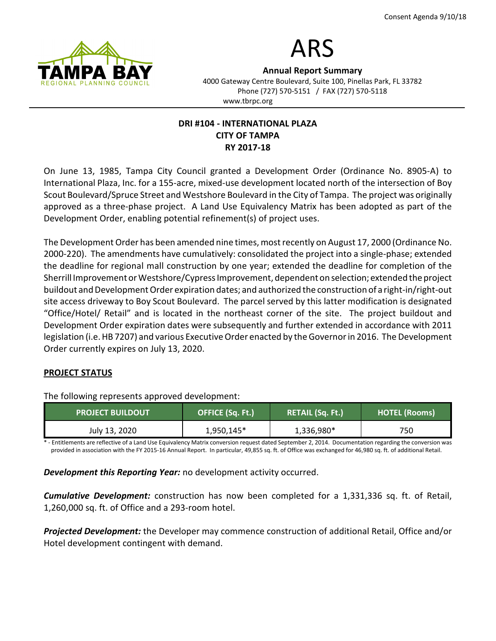

# ARS

Annual Report Summary 4000 Gateway Centre Boulevard, Suite 100, Pinellas Park, FL 33782 Phone (727) 570-5151 / FAX (727) 570-5118 www.tbrpc.org

# DRI #104 - INTERNATIONAL PLAZA CITY OF TAMPA RY 2017-18

On June 13, 1985, Tampa City Council granted a Development Order (Ordinance No. 8905-A) to International Plaza, Inc. for a 155-acre, mixed-use development located north of the intersection of Boy Scout Boulevard/Spruce Street and Westshore Boulevard in the City of Tampa. The project was originally approved as a three-phase project. A Land Use Equivalency Matrix has been adopted as part of the Development Order, enabling potential refinement(s) of project uses.

The Development Order has been amended nine times, most recently on August 17, 2000 (Ordinance No. 2000-220). The amendments have cumulatively: consolidated the project into a single-phase; extended the deadline for regional mall construction by one year; extended the deadline for completion of the Sherrill Improvement or Westshore/Cypress Improvement, dependent on selection; extended the project buildout and Development Order expiration dates; and authorized the construction of a right-in/right-out site access driveway to Boy Scout Boulevard. The parcel served by this latter modification is designated "Office/Hotel/ Retail" and is located in the northeast corner of the site. The project buildout and Development Order expiration dates were subsequently and further extended in accordance with 2011 legislation (i.e. HB 7207) and various Executive Order enacted by the Governor in 2016. The Development Order currently expires on July 13, 2020.

# PROJECT STATUS

The following represents approved development:

| <b>PROJECT BUILDOUT</b> | OFFICE (Sq. Ft.) | <b>RETAIL (Sq. Ft.)</b> | <b>HOTEL (Rooms)</b> |
|-------------------------|------------------|-------------------------|----------------------|
| July 13, 2020           | 1,950,145*       | 1,336,980*              | 750                  |

Entitlements are reflective of a Land Use Equivalency Matrix conversion request dated September 2, 2014. Documentation regarding the conversion was provided in association with the FY 2015-16 Annual Report. In particular, 49,855 sq. ft. of Office was exchanged for 46,980 sq. ft. of additional Retail.

**Development this Reporting Year:** no development activity occurred.

**Cumulative Development:** construction has now been completed for a 1,331,336 sq. ft. of Retail, 1,260,000 sq. ft. of Office and a 293-room hotel.

**Projected Development:** the Developer may commence construction of additional Retail, Office and/or Hotel development contingent with demand.